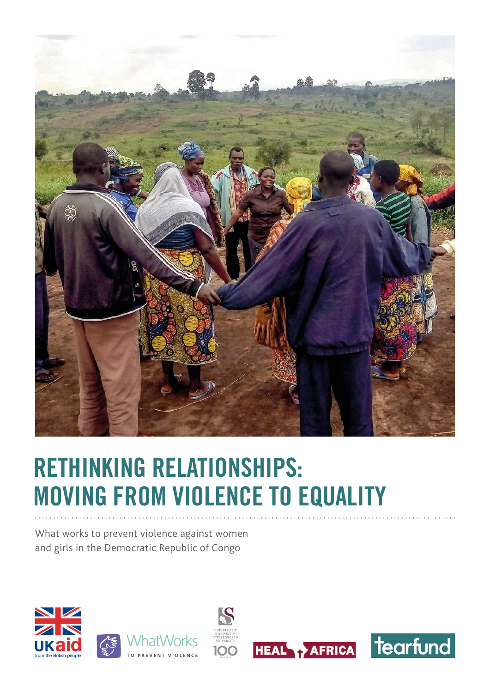

# **RETHINKING RELATIONSHIPS: MOVING FROM VIOLENCE TO EQUALITY**

What works to prevent violence against women and girls in the Democratic Republic of Congo









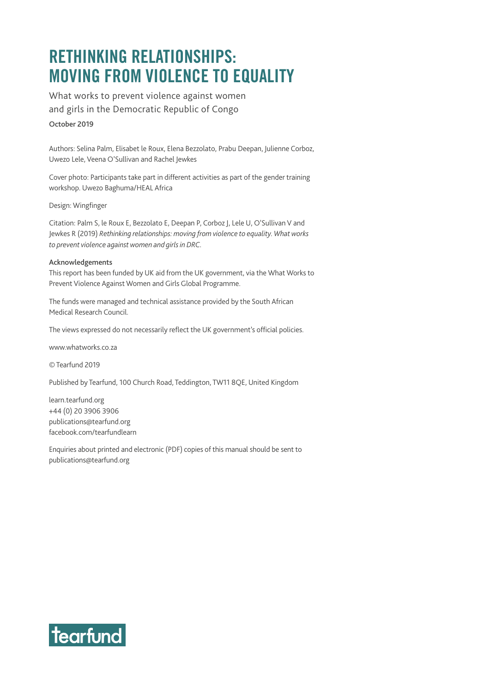## **RETHINKING RELATIONSHIPS: MOVING FROM VIOLENCE TO EQUALITY**

What works to prevent violence against women and girls in the Democratic Republic of Congo October 2019

Authors: Selina Palm, Elisabet le Roux, Elena Bezzolato, Prabu Deepan, Julienne Corboz, Uwezo Lele, Veena O'Sullivan and Rachel Jewkes

Cover photo: Participants take part in different activities as part of the gender training workshop. Uwezo Baghuma/HEAL Africa

Design: [Wingfinger](https://wingfinger.co.uk)

Citation: Palm S, le Roux E, Bezzolato E, Deepan P, Corboz J, Lele U, O'Sullivan V and Jewkes R (2019) *Rethinking relationships: moving from violence to equality. What works to prevent violence against women and girls in DRC.*

#### Acknowledgements

This report has been funded by UK aid from the UK government, via the What Works to Prevent Violence Against Women and Girls Global Programme.

The funds were managed and technical assistance provided by the South African Medical Research Council.

The views expressed do not necessarily reflect the UK government's official policies.

[www.whatworks.co.za](http://www.whatworks.co.za)

© Tearfund 2019

Published by Tearfund, 100 Church Road, Teddington, TW11 8QE, United Kingdom

[learn.tearfund.org](https://learn.tearfund.org) +44 (0) 20 3906 3906 publications@tearfund.org [facebook.com/tearfundlearn](https://www.facebook.com/tearfundlearn)

Enquiries about printed and electronic (PDF) copies of this manual should be sent to publications@tearfund.org

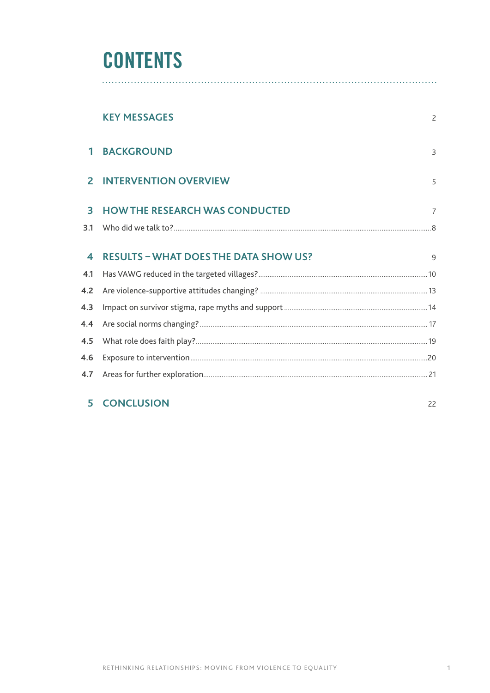## **CONTENTS**

|                  | <b>KEY MESSAGES</b>                          | $\overline{2}$ |
|------------------|----------------------------------------------|----------------|
| 1                | <b>BACKGROUND</b>                            | 3              |
| $\overline{2}$   | <b>INTERVENTION OVERVIEW</b>                 | 5              |
| 3                | <b>HOW THE RESEARCH WAS CONDUCTED</b>        | $\overline{7}$ |
| 3.1              |                                              |                |
| $\blacktriangle$ | <b>RESULTS - WHAT DOES THE DATA SHOW US?</b> | $\mathsf{Q}$   |
| 4.1              |                                              |                |
| 4.2              |                                              |                |
| 4.3              |                                              |                |
| 4.4              |                                              |                |
| 4.5              |                                              |                |
| 4.6              |                                              |                |
| 4.7              |                                              |                |
|                  |                                              |                |

## **5 CONCLUSION** 22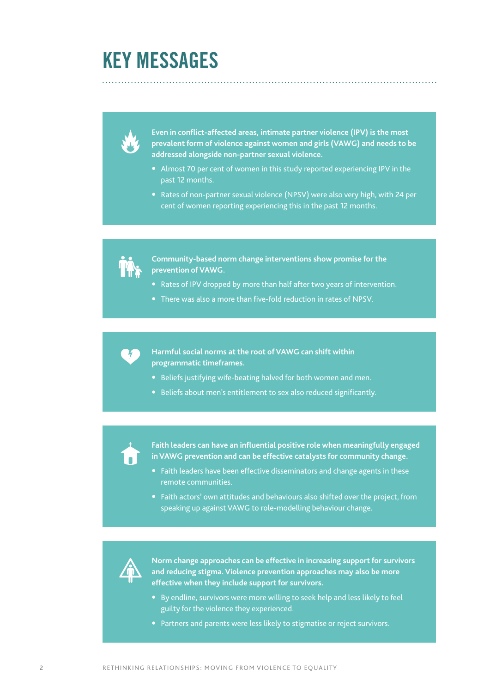## **KEY MESSAGES**

**Even in conflict-affected areas, intimate partner violence (IPV) is the most prevalent form of violence against women and girls (VAWG) and needs to be addressed alongside non-partner sexual violence.**

- **•** Almost 70 per cent of women in this study reported experiencing IPV in the past 12 months.
- **•** Rates of non-partner sexual violence (NPSV) were also very high, with 24 per cent of women reporting experiencing this in the past 12 months.

**Community-based norm change interventions show promise for the prevention of VAWG.** 

- **•** Rates of IPV dropped by more than half after two years of intervention.
- **•** There was also a more than five-fold reduction in rates of NPSV.

**Harmful social norms at the root of VAWG can shift within programmatic timeframes.**

- **•** Beliefs justifying wife-beating halved for both women and men.
- **•** Beliefs about men's entitlement to sex also reduced significantly.

**Faith leaders can have an influential positive role when meaningfully engaged in VAWG prevention and can be effective catalysts for community change.**

- **•** Faith leaders have been effective disseminators and change agents in these remote communities.
- **•** Faith actors' own attitudes and behaviours also shifted over the project, from speaking up against VAWG to role-modelling behaviour change.



**Norm change approaches can be effective in increasing support for survivors and reducing stigma. Violence prevention approaches may also be more effective when they include support for survivors.**

- **•** By endline, survivors were more willing to seek help and less likely to feel guilty for the violence they experienced.
- **•** Partners and parents were less likely to stigmatise or reject survivors.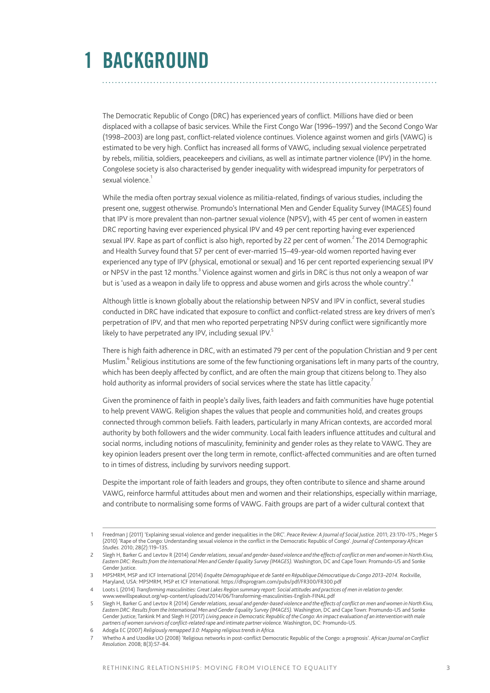The Democratic Republic of Congo (DRC) has experienced years of conflict. Millions have died or been displaced with a collapse of basic services. While the First Congo War (1996–1997) and the Second Congo War (1998–2003) are long past, conflict-related violence continues. Violence against women and girls (VAWG) is estimated to be very high. Conflict has increased all forms of VAWG, including sexual violence perpetrated by rebels, militia, soldiers, peacekeepers and civilians, as well as intimate partner violence (IPV) in the home. Congolese society is also characterised by gender inequality with widespread impunity for perpetrators of sexual violence.<sup>1</sup>

While the media often portray sexual violence as militia-related, findings of various studies, including the present one, suggest otherwise. Promundo's International Men and Gender Equality Survey (IMAGES) found that IPV is more prevalent than non-partner sexual violence (NPSV), with 45 per cent of women in eastern DRC reporting having ever experienced physical IPV and 49 per cent reporting having ever experienced sexual IPV. Rape as part of conflict is also high, reported by 22 per cent of women.<sup>2</sup> The 2014 Demographic and Health Survey found that 57 per cent of ever-married 15–49-year-old women reported having ever experienced any type of IPV (physical, emotional or sexual) and 16 per cent reported experiencing sexual IPV or NPSV in the past 12 months.<sup>3</sup> Violence against women and girls in DRC is thus not only a weapon of war but is 'used as a weapon in daily life to oppress and abuse women and girls across the whole country'.<sup>4</sup>

Although little is known globally about the relationship between NPSV and IPV in conflict, several studies conducted in DRC have indicated that exposure to conflict and conflict-related stress are key drivers of men's perpetration of IPV, and that men who reported perpetrating NPSV during conflict were significantly more likely to have perpetrated any IPV, including sexual IPV. $5$ 

There is high faith adherence in DRC, with an estimated 79 per cent of the population Christian and 9 per cent Muslim.<sup>6</sup> Religious institutions are some of the few functioning organisations left in many parts of the country, which has been deeply affected by conflict, and are often the main group that citizens belong to. They also hold authority as informal providers of social services where the state has little capacity.<sup>7</sup>

Given the prominence of faith in people's daily lives, faith leaders and faith communities have huge potential to help prevent VAWG. Religion shapes the values that people and communities hold, and creates groups connected through common beliefs. Faith leaders, particularly in many African contexts, are accorded moral authority by both followers and the wider community. Local faith leaders influence attitudes and cultural and social norms, including notions of masculinity, femininity and gender roles as they relate to VAWG. They are key opinion leaders present over the long term in remote, conflict-affected communities and are often turned to in times of distress, including by survivors needing support.

Despite the important role of faith leaders and groups, they often contribute to silence and shame around VAWG, reinforce harmful attitudes about men and women and their relationships, especially within marriage, and contribute to normalising some forms of VAWG. Faith groups are part of a wider cultural context that

<sup>1</sup> Freedman J (2011) 'Explaining sexual violence and gender inequalities in the DRC'. *Peace Review: A Journal of Social Justice.* 2011; 23:170–175.; Meger S (2010) 'Rape of the Congo: Understanding sexual violence in the conflict in the Democratic Republic of Congo'. *Journal of Contemporary African Studies.* 2010; 28(2):119–135.

<sup>2</sup> Slegh H, Barker G and Levtov R (2014) *Gender relations, sexual and gender-based violence and the effects of conflict on men and women in North Kivu, Eastern DRC: Results from the International Men and Gender Equality Survey (IMAGES).* Washington, DC and Cape Town: Promundo-US and Sonke Gender Justice

<sup>3</sup> MPSMRM, MSP and ICF International (2014) *Enquête Démographique et de Santé en République Démocratique du Congo 2013–2014.* Rockville, Maryland, USA: MPSMRM, MSP et ICF International. <https://dhsprogram.com/pubs/pdf/FR300/FR300.pdf>

<sup>4</sup> Loots L (2014) *Transforming masculinities: Great Lakes Region summary report: Social attitudes and practices of men in relation to gender.* [www.wewillspeakout.org/wp-content/uploads/2014/06/Transforming-masculinities-English-FINAL.pdf](https://www.wewillspeakout.org/wp-content/uploads/2014/06/Transforming-masculinities-English-FINAL.pdf)

<sup>5</sup> Slegh H, Barker G and Levtov R (2014) *Gender relations, sexual and gender-based violence and the effects of conflict on men and women in North Kivu, Eastern DRC: Results from the International Men and Gender Equality Survey (IMAGES).* Washington, DC and Cape Town: Promundo-US and Sonke Gender Justice; Tankink M and Slegh H (2017) *Living peace in Democratic Republic of the Congo: An impact evaluation of an intervention with male partners of women survivors of conflict-related rape and intimate partner violence.* Washington, DC: Promundo-US.

<sup>6</sup> Adogla EC (2007) *Religiously remapped 3.0: Mapping religious trends in Africa.*

<sup>7</sup> Whetho A and Uzodike UO (2008) 'Religious networks in post-conflict Democratic Republic of the Congo: a prognosis'. *African Journal on Conflict Resolution.* 2008; 8(3):57–84.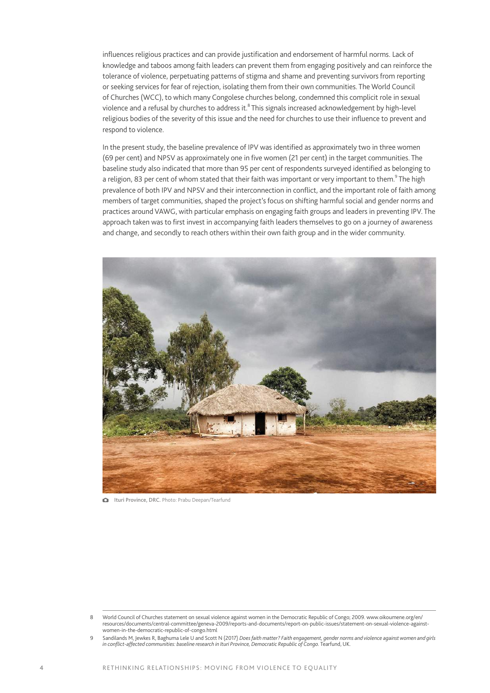influences religious practices and can provide justification and endorsement of harmful norms. Lack of knowledge and taboos among faith leaders can prevent them from engaging positively and can reinforce the tolerance of violence, perpetuating patterns of stigma and shame and preventing survivors from reporting or seeking services for fear of rejection, isolating them from their own communities. The World Council of Churches (WCC), to which many Congolese churches belong, condemned this complicit role in sexual violence and a refusal by churches to address it. $^8$  This signals increased acknowledgement by high-level religious bodies of the severity of this issue and the need for churches to use their influence to prevent and respond to violence.

In the present study, the baseline prevalence of IPV was identified as approximately two in three women (69 per cent) and NPSV as approximately one in five women (21 per cent) in the target communities. The baseline study also indicated that more than 95 per cent of respondents surveyed identified as belonging to a religion, 83 per cent of whom stated that their faith was important or very important to them. $^9$  The high prevalence of both IPV and NPSV and their interconnection in conflict, and the important role of faith among members of target communities, shaped the project's focus on shifting harmful social and gender norms and practices around VAWG, with particular emphasis on engaging faith groups and leaders in preventing IPV. The approach taken was to first invest in accompanying faith leaders themselves to go on a journey of awareness and change, and secondly to reach others within their own faith group and in the wider community.



Ituri Province, DRC. Photo: Prabu Deepan/Tearfund

<sup>8</sup> World Council of Churches statement on sexual violence against women in the Democratic Republic of Congo; 2009. [www.oikoumene.org/en/](http://www.oikoumene.org/en/resources/documents/central-committee/geneva-2009/reports-and-documents/report-on-public-issues/statement-on-sexual-violence-against-women-in-the-democratic-republic-of-congo.html) [resources/documents/central-committee/geneva-2009/reports-and-documents/report-on-public-issues/statement-on-sexual-violence-against](http://www.oikoumene.org/en/resources/documents/central-committee/geneva-2009/reports-and-documents/report-on-public-issues/statement-on-sexual-violence-against-women-in-the-democratic-republic-of-congo.html)[women-in-the-democratic-republic-of-congo.html](http://www.oikoumene.org/en/resources/documents/central-committee/geneva-2009/reports-and-documents/report-on-public-issues/statement-on-sexual-violence-against-women-in-the-democratic-republic-of-congo.html)

Sandilands M, Jewkes R, Baghuma Lele U and Scott N (2017) *Does faith matter? Faith engagement, gender norms and violence against women and girls in conflict-affected communities: baseline research in Ituri Province, Democratic Republic of Congo.* Tearfund, UK.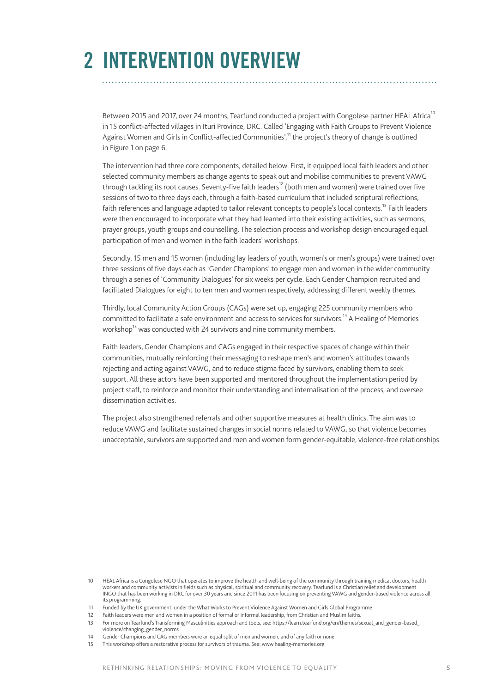## **2 INTERVENTION OVERVIEW**

Between 2015 and 2017, over 24 months, Tearfund conducted a project with Congolese partner HEAL Africa<sup>10</sup> in 15 conflict-affected villages in Ituri Province, DRC. Called 'Engaging with Faith Groups to Prevent Violence Against Women and Girls in Conflict-affected Communities',<sup>11</sup> the project's theory of change is outlined in Figure 1 on page 6.

The intervention had three core components, detailed below. First, it equipped local faith leaders and other selected community members as change agents to speak out and mobilise communities to prevent VAWG through tackling its root causes. Seventy-five faith leaders<sup>12</sup> (both men and women) were trained over five sessions of two to three days each, through a faith-based curriculum that included scriptural reflections, faith references and language adapted to tailor relevant concepts to people's local contexts.<sup>13</sup> Faith leaders were then encouraged to incorporate what they had learned into their existing activities, such as sermons, prayer groups, youth groups and counselling. The selection process and workshop design encouraged equal participation of men and women in the faith leaders' workshops.

Secondly, 15 men and 15 women (including lay leaders of youth, women's or men's groups) were trained over three sessions of five days each as 'Gender Champions' to engage men and women in the wider community through a series of 'Community Dialogues' for six weeks per cycle. Each Gender Champion recruited and facilitated Dialogues for eight to ten men and women respectively, addressing different weekly themes.

Thirdly, local Community Action Groups (CAGs) were set up, engaging 225 community members who committed to facilitate a safe environment and access to services for survivors.<sup>14</sup> A Healing of Memories workshop<sup>15</sup> was conducted with 24 survivors and nine community members.

Faith leaders, Gender Champions and CAGs engaged in their respective spaces of change within their communities, mutually reinforcing their messaging to reshape men's and women's attitudes towards rejecting and acting against VAWG, and to reduce stigma faced by survivors, enabling them to seek support. All these actors have been supported and mentored throughout the implementation period by project staff, to reinforce and monitor their understanding and internalisation of the process, and oversee dissemination activities.

The project also strengthened referrals and other supportive measures at health clinics. The aim was to reduce VAWG and facilitate sustained changes in social norms related to VAWG, so that violence becomes unacceptable, survivors are supported and men and women form gender-equitable, violence-free relationships.

12 Faith leaders were men and women in a position of formal or informal leadership, from Christian and Muslim faiths.

<sup>10</sup> HEAL Africa is a Congolese NGO that operates to improve the health and well-being of the community through training medical doctors, health workers and community activists in fields such as physical, spiritual and community recovery. Tearfund is a Christian relief and development<br>INGO that has been working in DRC for over 30 years and since 2011 has been focus its programming.

<sup>11</sup> Funded by the UK government, under the What Works to Prevent Violence Against Women and Girls Global Programme.

<sup>13</sup> For more on Tearfund's Transforming Masculinities approach and tools, see: [https://learn.tearfund.org/en/themes/sexual\\_and\\_gender-based\\_](https://learn.tearfund.org/en/themes/sexual_and_gender-based_violence/changing_gender_norms) [violence/changing\\_gender\\_norms](https://learn.tearfund.org/en/themes/sexual_and_gender-based_violence/changing_gender_norms)

<sup>14</sup> Gender Champions and CAG members were an equal split of men and women, and of any faith or none.

<sup>15</sup> This workshop offers a restorative process for survivors of trauma. See: [www.healing-memories.org](https://www.healing-memories.org)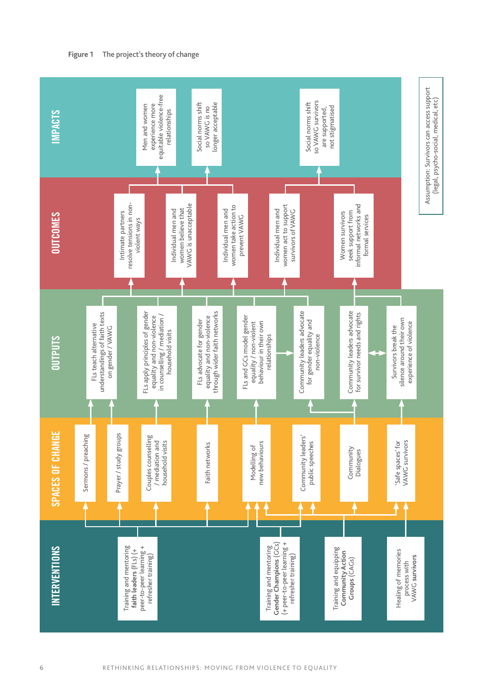

6 RETHINKING RELATIONSHIPS: MOVING FROM VIOLENCE TO EQUALITY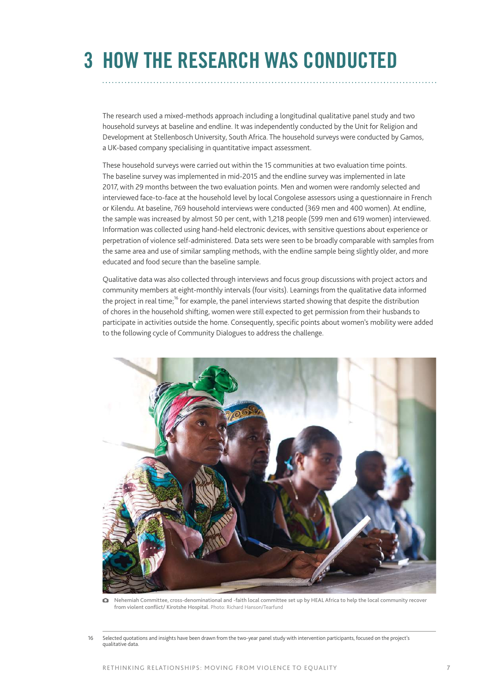# **3 HOW THE RESEARCH WAS CONDUCTED**

The research used a mixed-methods approach including a longitudinal qualitative panel study and two household surveys at baseline and endline. It was independently conducted by the Unit for Religion and Development at Stellenbosch University, South Africa. The household surveys were conducted by Gamos, a UK-based company specialising in quantitative impact assessment.

These household surveys were carried out within the 15 communities at two evaluation time points. The baseline survey was implemented in mid-2015 and the endline survey was implemented in late 2017, with 29 months between the two evaluation points. Men and women were randomly selected and interviewed face-to-face at the household level by local Congolese assessors using a questionnaire in French or Kilendu. At baseline, 769 household interviews were conducted (369 men and 400 women). At endline, the sample was increased by almost 50 per cent, with 1,218 people (599 men and 619 women) interviewed. Information was collected using hand-held electronic devices, with sensitive questions about experience or perpetration of violence self-administered. Data sets were seen to be broadly comparable with samples from the same area and use of similar sampling methods, with the endline sample being slightly older, and more educated and food secure than the baseline sample.

Qualitative data was also collected through interviews and focus group discussions with project actors and community members at eight-monthly intervals (four visits). Learnings from the qualitative data informed the project in real time;<sup>16</sup> for example, the panel interviews started showing that despite the distribution of chores in the household shifting, women were still expected to get permission from their husbands to participate in activities outside the home. Consequently, specific points about women's mobility were added to the following cycle of Community Dialogues to address the challenge.



Nehemiah Committee, cross-denominational and -faith local committee set up by HEAL Africa to help the local community recover from violent conflict/ Kirotshe Hospital. Photo: Richard Hanson/Tearfund

Selected quotations and insights have been drawn from the two-year panel study with intervention participants, focused on the project's qualitative data.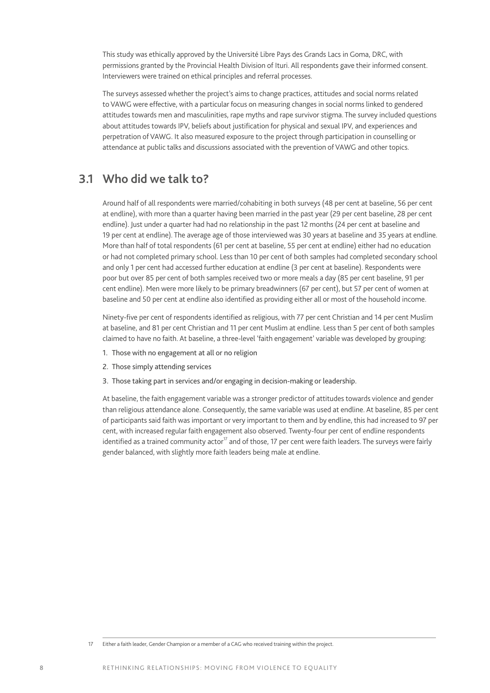This study was ethically approved by the Université Libre Pays des Grands Lacs in Goma, DRC, with permissions granted by the Provincial Health Division of Ituri. All respondents gave their informed consent. Interviewers were trained on ethical principles and referral processes.

The surveys assessed whether the project's aims to change practices, attitudes and social norms related to VAWG were effective, with a particular focus on measuring changes in social norms linked to gendered attitudes towards men and masculinities, rape myths and rape survivor stigma. The survey included questions about attitudes towards IPV, beliefs about justification for physical and sexual IPV, and experiences and perpetration of VAWG. It also measured exposure to the project through participation in counselling or attendance at public talks and discussions associated with the prevention of VAWG and other topics.

## **3.1 Who did we talk to?**

Around half of all respondents were married/cohabiting in both surveys (48 per cent at baseline, 56 per cent at endline), with more than a quarter having been married in the past year (29 per cent baseline, 28 per cent endline). Just under a quarter had had no relationship in the past 12 months (24 per cent at baseline and 19 per cent at endline). The average age of those interviewed was 30 years at baseline and 35 years at endline. More than half of total respondents (61 per cent at baseline, 55 per cent at endline) either had no education or had not completed primary school. Less than 10 per cent of both samples had completed secondary school and only 1 per cent had accessed further education at endline (3 per cent at baseline). Respondents were poor but over 85 per cent of both samples received two or more meals a day (85 per cent baseline, 91 per cent endline). Men were more likely to be primary breadwinners (67 per cent), but 57 per cent of women at baseline and 50 per cent at endline also identified as providing either all or most of the household income.

Ninety-five per cent of respondents identified as religious, with 77 per cent Christian and 14 per cent Muslim at baseline, and 81 per cent Christian and 11 per cent Muslim at endline. Less than 5 per cent of both samples claimed to have no faith. At baseline, a three-level 'faith engagement' variable was developed by grouping:

- 1. Those with no engagement at all or no religion
- 2. Those simply attending services
- 3. Those taking part in services and/or engaging in decision-making or leadership.

At baseline, the faith engagement variable was a stronger predictor of attitudes towards violence and gender than religious attendance alone. Consequently, the same variable was used at endline. At baseline, 85 per cent of participants said faith was important or very important to them and by endline, this had increased to 97 per cent, with increased regular faith engagement also observed. Twenty-four per cent of endline respondents identified as a trained community actor<sup>17</sup> and of those, 17 per cent were faith leaders. The surveys were fairly gender balanced, with slightly more faith leaders being male at endline.

<sup>17</sup> Either a faith leader, Gender Champion or a member of a CAG who received training within the project.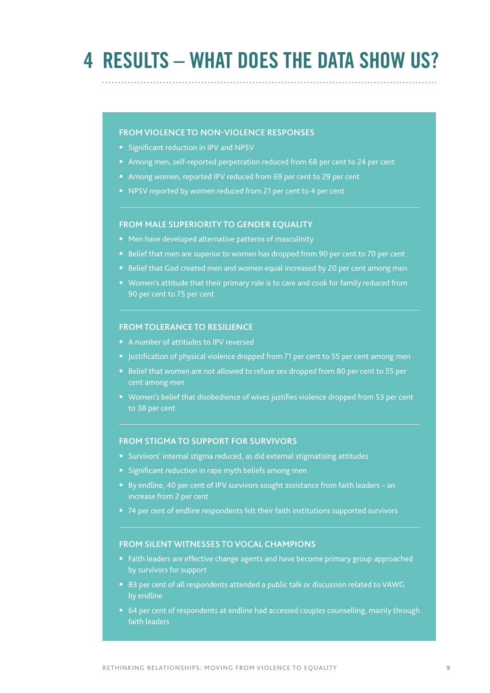## **4 RESULTS – WHAT DOES THE DATA SHOW US?**

#### **FROM VIOLENCE TO NON-VIOLENCE RESPONSES**

- **•** Significant reduction in IPV and NPSV
- **•** Among men, self-reported perpetration reduced from 68 per cent to 24 per cent
- **•** Among women, reported IPV reduced from 69 per cent to 29 per cent
- **•** NPSV reported by women reduced from 21 per cent to 4 per cent

#### **FROM MALE SUPERIORITY TO GENDER EQUALITY**

- **•** Men have developed alternative patterns of masculinity
- **•** Belief that men are superior to women has dropped from 90 per cent to 70 per cent
- **•** Belief that God created men and women equal increased by 20 per cent among men
- **•** Women's attitude that their primary role is to care and cook for family reduced from 90 per cent to 75 per cent

#### **FROM TOLERANCE TO RESILIENCE**

- **•** A number of attitudes to IPV reversed
- **•** Justification of physical violence dropped from 71 per cent to 55 per cent among men
- **•** Belief that women are not allowed to refuse sex dropped from 80 per cent to 55 per cent among men
- **•** Women's belief that disobedience of wives justifies violence dropped from 53 per cent to 38 per cent

#### **FROM STIGMA TO SUPPORT FOR SURVIVORS**

- **•** Survivors' internal stigma reduced, as did external stigmatising attitudes
- **•** Significant reduction in rape myth beliefs among men
- **•** By endline, 40 per cent of IPV survivors sought assistance from faith leaders an increase from 2 per cent
- **•** 74 per cent of endline respondents felt their faith institutions supported survivors

#### **FROM SILENT WITNESSES TO VOCAL CHAMPIONS**

- **•** Faith leaders are effective change agents and have become primary group approached by survivors for support
- **•** 83 per cent of all respondents attended a public talk or discussion related to VAWG by endline
- **•** 64 per cent of respondents at endline had accessed couples counselling, mainly through faith leaders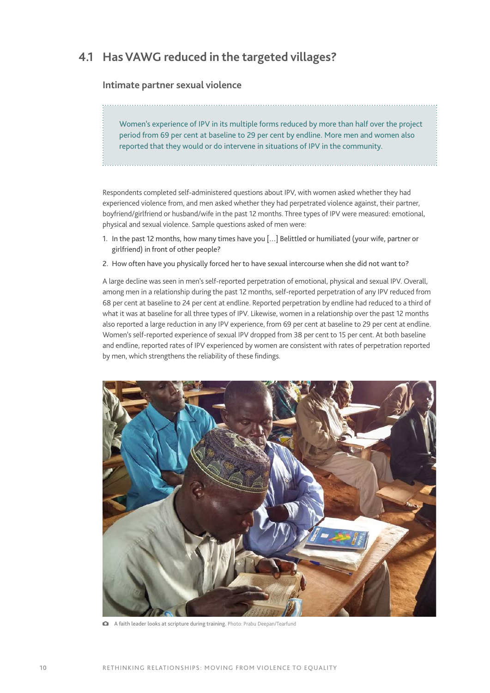## **4.1 Has VAWG reduced in the targeted villages?**

#### **Intimate partner sexual violence**

Women's experience of IPV in its multiple forms reduced by more than half over the project period from 69 per cent at baseline to 29 per cent by endline. More men and women also reported that they would or do intervene in situations of IPV in the community.

Respondents completed self-administered questions about IPV, with women asked whether they had experienced violence from, and men asked whether they had perpetrated violence against, their partner, boyfriend/girlfriend or husband/wife in the past 12 months. Three types of IPV were measured: emotional, physical and sexual violence. Sample questions asked of men were:

- 1. In the past 12 months, how many times have you […] Belittled or humiliated (your wife, partner or girlfriend) in front of other people?
- 2. How often have you physically forced her to have sexual intercourse when she did not want to?

A large decline was seen in men's self-reported perpetration of emotional, physical and sexual IPV. Overall, among men in a relationship during the past 12 months, self-reported perpetration of any IPV reduced from 68 per cent at baseline to 24 per cent at endline. Reported perpetration by endline had reduced to a third of what it was at baseline for all three types of IPV. Likewise, women in a relationship over the past 12 months also reported a large reduction in any IPV experience, from 69 per cent at baseline to 29 per cent at endline. Women's self-reported experience of sexual IPV dropped from 38 per cent to 15 per cent. At both baseline and endline, reported rates of IPV experienced by women are consistent with rates of perpetration reported by men, which strengthens the reliability of these findings.



A faith leader looks at scripture during training. Photo: Prabu Deepan/Tearfund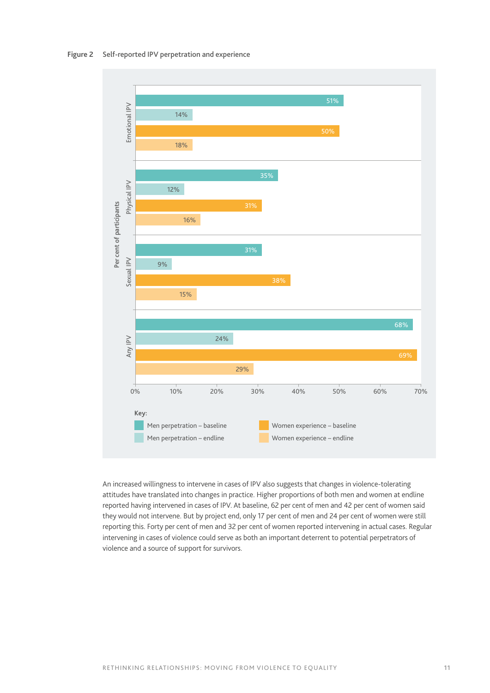

An increased willingness to intervene in cases of IPV also suggests that changes in violence-tolerating attitudes have translated into changes in practice. Higher proportions of both men and women at endline reported having intervened in cases of IPV. At baseline, 62 per cent of men and 42 per cent of women said they would not intervene. But by project end, only 17 per cent of men and 24 per cent of women were still reporting this. Forty per cent of men and 32 per cent of women reported intervening in actual cases. Regular intervening in cases of violence could serve as both an important deterrent to potential perpetrators of violence and a source of support for survivors.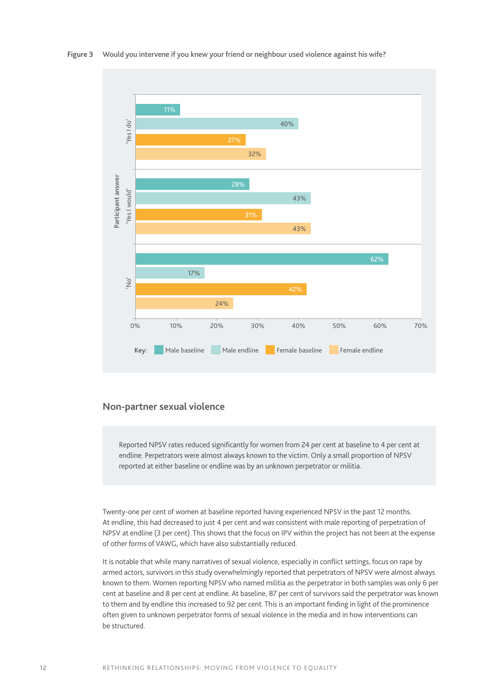

#### **Non-partner sexual violence**

Reported NPSV rates reduced significantly for women from 24 per cent at baseline to 4 per cent at endline. Perpetrators were almost always known to the victim. Only a small proportion of NPSV reported at either baseline or endline was by an unknown perpetrator or militia.

Twenty-one per cent of women at baseline reported having experienced NPSV in the past 12 months. At endline, this had decreased to just 4 per cent and was consistent with male reporting of perpetration of NPSV at endline (3 per cent). This shows that the focus on IPV within the project has not been at the expense of other forms of VAWG, which have also substantially reduced.

It is notable that while many narratives of sexual violence, especially in conflict settings, focus on rape by armed actors, survivors in this study overwhelmingly reported that perpetrators of NPSV were almost always known to them. Women reporting NPSV who named militia as the perpetrator in both samples was only 6 per cent at baseline and 8 per cent at endline. At baseline, 87 per cent of survivors said the perpetrator was known to them and by endline this increased to 92 per cent. This is an important finding in light of the prominence often given to unknown perpetrator forms of sexual violence in the media and in how interventions can be structured.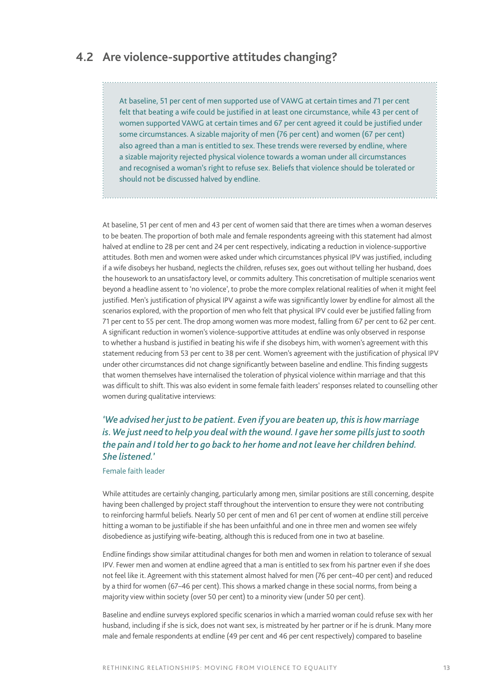## **4.2 Are violence-supportive attitudes changing?**

At baseline, 51 per cent of men supported use of VAWG at certain times and 71 per cent felt that beating a wife could be justified in at least one circumstance, while 43 per cent of women supported VAWG at certain times and 67 per cent agreed it could be justified under some circumstances. A sizable majority of men (76 per cent) and women (67 per cent) also agreed than a man is entitled to sex. These trends were reversed by endline, where a sizable majority rejected physical violence towards a woman under all circumstances and recognised a woman's right to refuse sex. Beliefs that violence should be tolerated or should not be discussed halved by endline.

At baseline, 51 per cent of men and 43 per cent of women said that there are times when a woman deserves to be beaten. The proportion of both male and female respondents agreeing with this statement had almost halved at endline to 28 per cent and 24 per cent respectively, indicating a reduction in violence-supportive attitudes. Both men and women were asked under which circumstances physical IPV was justified, including if a wife disobeys her husband, neglects the children, refuses sex, goes out without telling her husband, does the housework to an unsatisfactory level, or commits adultery. This concretisation of multiple scenarios went beyond a headline assent to 'no violence', to probe the more complex relational realities of when it might feel justified. Men's justification of physical IPV against a wife was significantly lower by endline for almost all the scenarios explored, with the proportion of men who felt that physical IPV could ever be justified falling from 71 per cent to 55 per cent. The drop among women was more modest, falling from 67 per cent to 62 per cent. A significant reduction in women's violence-supportive attitudes at endline was only observed in response to whether a husband is justified in beating his wife if she disobeys him, with women's agreement with this statement reducing from 53 per cent to 38 per cent. Women's agreement with the justification of physical IPV under other circumstances did not change significantly between baseline and endline. This finding suggests that women themselves have internalised the toleration of physical violence within marriage and that this was difficult to shift. This was also evident in some female faith leaders' responses related to counselling other women during qualitative interviews:

### *'We advised her just to be patient. Even if you are beaten up, this is how marriage is. We just need to help you deal with the wound. I gave her some pills just to sooth the pain and I told her to go back to her home and not leave her children behind. She listened.'*

#### Female faith leader

While attitudes are certainly changing, particularly among men, similar positions are still concerning, despite having been challenged by project staff throughout the intervention to ensure they were not contributing to reinforcing harmful beliefs. Nearly 50 per cent of men and 61 per cent of women at endline still perceive hitting a woman to be justifiable if she has been unfaithful and one in three men and women see wifely disobedience as justifying wife-beating, although this is reduced from one in two at baseline.

Endline findings show similar attitudinal changes for both men and women in relation to tolerance of sexual IPV. Fewer men and women at endline agreed that a man is entitled to sex from his partner even if she does not feel like it. Agreement with this statement almost halved for men (76 per cent–40 per cent) and reduced by a third for women (67–46 per cent). This shows a marked change in these social norms, from being a majority view within society (over 50 per cent) to a minority view (under 50 per cent).

Baseline and endline surveys explored specific scenarios in which a married woman could refuse sex with her husband, including if she is sick, does not want sex, is mistreated by her partner or if he is drunk. Many more male and female respondents at endline (49 per cent and 46 per cent respectively) compared to baseline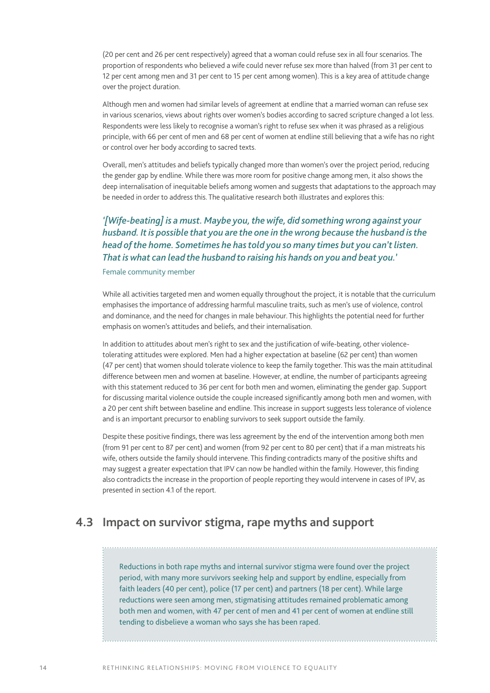(20 per cent and 26 per cent respectively) agreed that a woman could refuse sex in all four scenarios. The proportion of respondents who believed a wife could never refuse sex more than halved (from 31 per cent to 12 per cent among men and 31 per cent to 15 per cent among women). This is a key area of attitude change over the project duration.

Although men and women had similar levels of agreement at endline that a married woman can refuse sex in various scenarios, views about rights over women's bodies according to sacred scripture changed a lot less. Respondents were less likely to recognise a woman's right to refuse sex when it was phrased as a religious principle, with 66 per cent of men and 68 per cent of women at endline still believing that a wife has no right or control over her body according to sacred texts.

Overall, men's attitudes and beliefs typically changed more than women's over the project period, reducing the gender gap by endline. While there was more room for positive change among men, it also shows the deep internalisation of inequitable beliefs among women and suggests that adaptations to the approach may be needed in order to address this. The qualitative research both illustrates and explores this:

### *'[Wife-beating] is a must. Maybe you, the wife, did something wrong against your husband. It is possible that you are the one in the wrong because the husband is the head of the home. Sometimes he has told you so many times but you can't listen. That is what can lead the husband to raising his hands on you and beat you.'*

Female community member

While all activities targeted men and women equally throughout the project, it is notable that the curriculum emphasises the importance of addressing harmful masculine traits, such as men's use of violence, control and dominance, and the need for changes in male behaviour. This highlights the potential need for further emphasis on women's attitudes and beliefs, and their internalisation.

In addition to attitudes about men's right to sex and the justification of wife-beating, other violencetolerating attitudes were explored. Men had a higher expectation at baseline (62 per cent) than women (47 per cent) that women should tolerate violence to keep the family together. This was the main attitudinal difference between men and women at baseline. However, at endline, the number of participants agreeing with this statement reduced to 36 per cent for both men and women, eliminating the gender gap. Support for discussing marital violence outside the couple increased significantly among both men and women, with a 20 per cent shift between baseline and endline. This increase in support suggests less tolerance of violence and is an important precursor to enabling survivors to seek support outside the family.

Despite these positive findings, there was less agreement by the end of the intervention among both men (from 91 per cent to 87 per cent) and women (from 92 per cent to 80 per cent) that if a man mistreats his wife, others outside the family should intervene. This finding contradicts many of the positive shifts and may suggest a greater expectation that IPV can now be handled within the family. However, this finding also contradicts the increase in the proportion of people reporting they would intervene in cases of IPV, as presented in section 4.1 of the report.

## **4.3 Impact on survivor stigma, rape myths and support**

Reductions in both rape myths and internal survivor stigma were found over the project period, with many more survivors seeking help and support by endline, especially from faith leaders (40 per cent), police (17 per cent) and partners (18 per cent). While large reductions were seen among men, stigmatising attitudes remained problematic among both men and women, with 47 per cent of men and 41 per cent of women at endline still tending to disbelieve a woman who says she has been raped.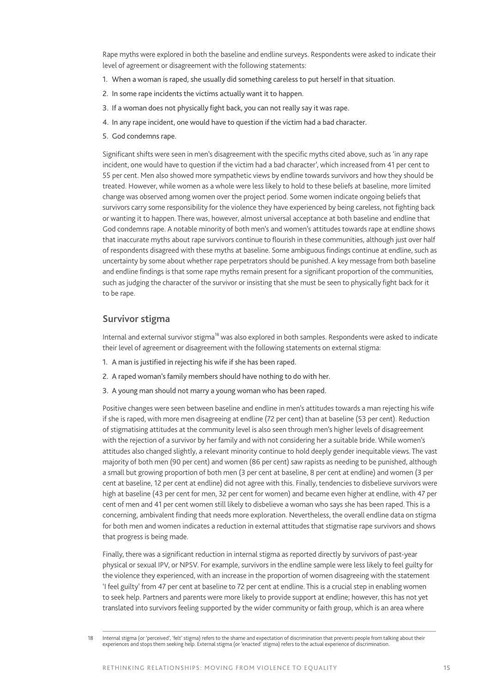Rape myths were explored in both the baseline and endline surveys. Respondents were asked to indicate their level of agreement or disagreement with the following statements:

- 1. When a woman is raped, she usually did something careless to put herself in that situation.
- 2. In some rape incidents the victims actually want it to happen.
- 3. If a woman does not physically fight back, you can not really say it was rape.
- 4. In any rape incident, one would have to question if the victim had a bad character.
- 5. God condemns rape.

Significant shifts were seen in men's disagreement with the specific myths cited above, such as 'in any rape incident, one would have to question if the victim had a bad character', which increased from 41 per cent to 55 per cent. Men also showed more sympathetic views by endline towards survivors and how they should be treated. However, while women as a whole were less likely to hold to these beliefs at baseline, more limited change was observed among women over the project period. Some women indicate ongoing beliefs that survivors carry some responsibility for the violence they have experienced by being careless, not fighting back or wanting it to happen. There was, however, almost universal acceptance at both baseline and endline that God condemns rape. A notable minority of both men's and women's attitudes towards rape at endline shows that inaccurate myths about rape survivors continue to flourish in these communities, although just over half of respondents disagreed with these myths at baseline. Some ambiguous findings continue at endline, such as uncertainty by some about whether rape perpetrators should be punished. A key message from both baseline and endline findings is that some rape myths remain present for a significant proportion of the communities, such as judging the character of the survivor or insisting that she must be seen to physically fight back for it to be rape.

#### **Survivor stigma**

Internal and external survivor stigma<sup>18</sup> was also explored in both samples. Respondents were asked to indicate their level of agreement or disagreement with the following statements on external stigma:

- 1. A man is justified in rejecting his wife if she has been raped.
- 2. A raped woman's family members should have nothing to do with her.
- 3. A young man should not marry a young woman who has been raped.

Positive changes were seen between baseline and endline in men's attitudes towards a man rejecting his wife if she is raped, with more men disagreeing at endline (72 per cent) than at baseline (53 per cent). Reduction of stigmatising attitudes at the community level is also seen through men's higher levels of disagreement with the rejection of a survivor by her family and with not considering her a suitable bride. While women's attitudes also changed slightly, a relevant minority continue to hold deeply gender inequitable views. The vast majority of both men (90 per cent) and women (86 per cent) saw rapists as needing to be punished, although a small but growing proportion of both men (3 per cent at baseline, 8 per cent at endline) and women (3 per cent at baseline, 12 per cent at endline) did not agree with this. Finally, tendencies to disbelieve survivors were high at baseline (43 per cent for men, 32 per cent for women) and became even higher at endline, with 47 per cent of men and 41 per cent women still likely to disbelieve a woman who says she has been raped. This is a concerning, ambivalent finding that needs more exploration. Nevertheless, the overall endline data on stigma for both men and women indicates a reduction in external attitudes that stigmatise rape survivors and shows that progress is being made.

Finally, there was a significant reduction in internal stigma as reported directly by survivors of past-year physical or sexual IPV, or NPSV. For example, survivors in the endline sample were less likely to feel guilty for the violence they experienced, with an increase in the proportion of women disagreeing with the statement 'I feel guilty' from 47 per cent at baseline to 72 per cent at endline. This is a crucial step in enabling women to seek help. Partners and parents were more likely to provide support at endline; however, this has not yet translated into survivors feeling supported by the wider community or faith group, which is an area where

<sup>18</sup> Internal stigma (or 'perceived', 'felt' stigma) refers to the shame and expectation of discrimination that prevents people from talking about their experiences and stops them seeking help. External stigma (or 'enacted' stigma) refers to the actual experience of discrimination.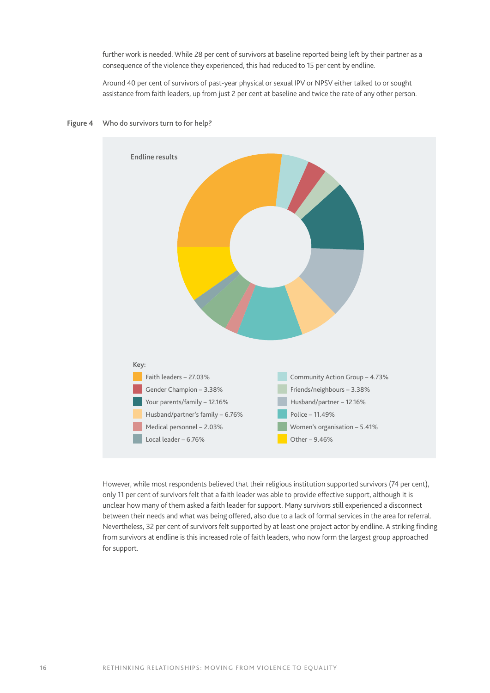further work is needed. While 28 per cent of survivors at baseline reported being left by their partner as a consequence of the violence they experienced, this had reduced to 15 per cent by endline.

Around 40 per cent of survivors of past-year physical or sexual IPV or NPSV either talked to or sought assistance from faith leaders, up from just 2 per cent at baseline and twice the rate of any other person.





However, while most respondents believed that their religious institution supported survivors (74 per cent), only 11 per cent of survivors felt that a faith leader was able to provide effective support, although it is unclear how many of them asked a faith leader for support. Many survivors still experienced a disconnect between their needs and what was being offered, also due to a lack of formal services in the area for referral. Nevertheless, 32 per cent of survivors felt supported by at least one project actor by endline. A striking finding from survivors at endline is this increased role of faith leaders, who now form the largest group approached for support.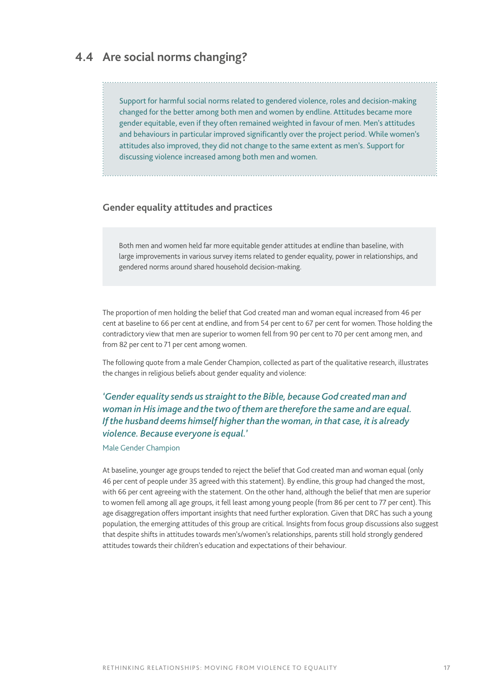## **4.4 Are social norms changing?**

Support for harmful social norms related to gendered violence, roles and decision-making changed for the better among both men and women by endline. Attitudes became more gender equitable, even if they often remained weighted in favour of men. Men's attitudes and behaviours in particular improved significantly over the project period. While women's attitudes also improved, they did not change to the same extent as men's. Support for discussing violence increased among both men and women.

### **Gender equality attitudes and practices**

Both men and women held far more equitable gender attitudes at endline than baseline, with large improvements in various survey items related to gender equality, power in relationships, and gendered norms around shared household decision-making.

The proportion of men holding the belief that God created man and woman equal increased from 46 per cent at baseline to 66 per cent at endline, and from 54 per cent to 67 per cent for women. Those holding the contradictory view that men are superior to women fell from 90 per cent to 70 per cent among men, and from 82 per cent to 71 per cent among women.

The following quote from a male Gender Champion, collected as part of the qualitative research, illustrates the changes in religious beliefs about gender equality and violence:

*'Gender equality sends us straight to the Bible, because God created man and woman in His image and the two of them are therefore the same and are equal. If the husband deems himself higher than the woman, in that case, it is already violence. Because everyone is equal.'*

Male Gender Champion

At baseline, younger age groups tended to reject the belief that God created man and woman equal (only 46 per cent of people under 35 agreed with this statement). By endline, this group had changed the most, with 66 per cent agreeing with the statement. On the other hand, although the belief that men are superior to women fell among all age groups, it fell least among young people (from 86 per cent to 77 per cent). This age disaggregation offers important insights that need further exploration. Given that DRC has such a young population, the emerging attitudes of this group are critical. Insights from focus group discussions also suggest that despite shifts in attitudes towards men's/women's relationships, parents still hold strongly gendered attitudes towards their children's education and expectations of their behaviour.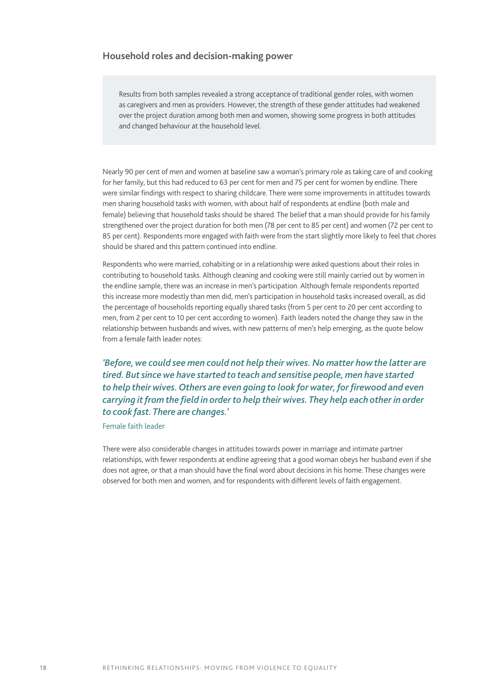#### **Household roles and decision-making power**

Results from both samples revealed a strong acceptance of traditional gender roles, with women as caregivers and men as providers. However, the strength of these gender attitudes had weakened over the project duration among both men and women, showing some progress in both attitudes and changed behaviour at the household level.

Nearly 90 per cent of men and women at baseline saw a woman's primary role as taking care of and cooking for her family, but this had reduced to 63 per cent for men and 75 per cent for women by endline. There were similar findings with respect to sharing childcare. There were some improvements in attitudes towards men sharing household tasks with women, with about half of respondents at endline (both male and female) believing that household tasks should be shared. The belief that a man should provide for his family strengthened over the project duration for both men (78 per cent to 85 per cent) and women (72 per cent to 85 per cent). Respondents more engaged with faith were from the start slightly more likely to feel that chores should be shared and this pattern continued into endline.

Respondents who were married, cohabiting or in a relationship were asked questions about their roles in contributing to household tasks. Although cleaning and cooking were still mainly carried out by women in the endline sample, there was an increase in men's participation. Although female respondents reported this increase more modestly than men did, men's participation in household tasks increased overall, as did the percentage of households reporting equally shared tasks (from 5 per cent to 20 per cent according to men, from 2 per cent to 10 per cent according to women). Faith leaders noted the change they saw in the relationship between husbands and wives, with new patterns of men's help emerging, as the quote below from a female faith leader notes:

*'Before, we could see men could not help their wives. No matter how the latter are tired. But since we have started to teach and sensitise people, men have started to help their wives. Others are even going to look for water, for firewood and even carrying it from the field in order to help their wives. They help each other in order to cook fast. There are changes.'*

Female faith leader

There were also considerable changes in attitudes towards power in marriage and intimate partner relationships, with fewer respondents at endline agreeing that a good woman obeys her husband even if she does not agree, or that a man should have the final word about decisions in his home. These changes were observed for both men and women, and for respondents with different levels of faith engagement.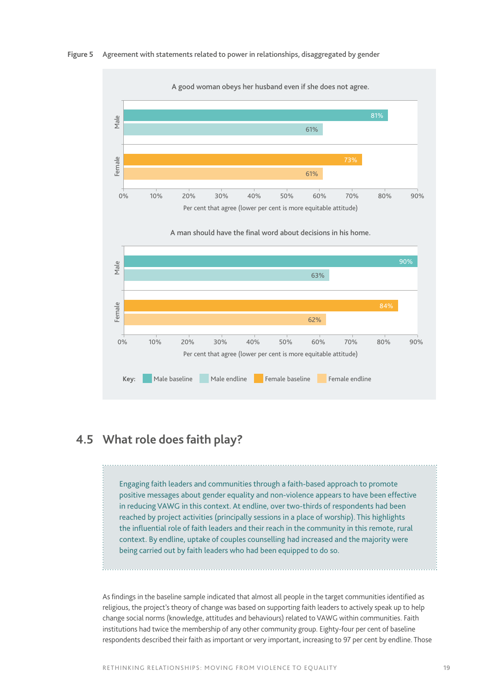



## **4.5 What role does faith play?**

Engaging faith leaders and communities through a faith-based approach to promote positive messages about gender equality and non-violence appears to have been effective in reducing VAWG in this context. At endline, over two-thirds of respondents had been reached by project activities (principally sessions in a place of worship). This highlights the influential role of faith leaders and their reach in the community in this remote, rural context. By endline, uptake of couples counselling had increased and the majority were being carried out by faith leaders who had been equipped to do so.

. . . . . . . . . . . . . . . . . . . .

As findings in the baseline sample indicated that almost all people in the target communities identified as religious, the project's theory of change was based on supporting faith leaders to actively speak up to help change social norms (knowledge, attitudes and behaviours) related to VAWG within communities. Faith institutions had twice the membership of any other community group. Eighty-four per cent of baseline respondents described their faith as important or very important, increasing to 97 per cent by endline. Those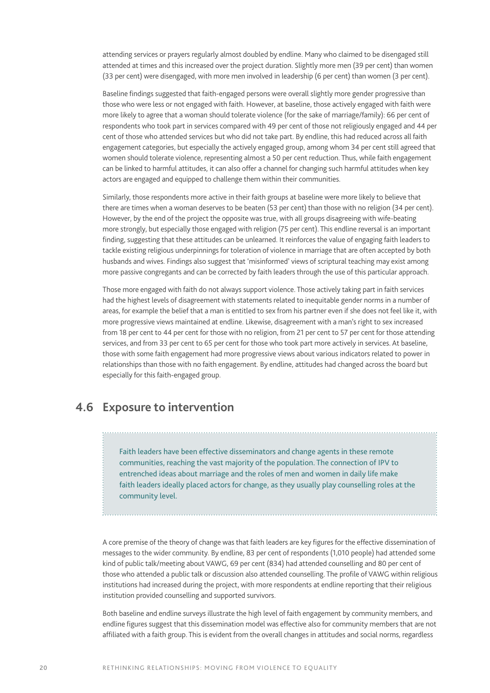attending services or prayers regularly almost doubled by endline. Many who claimed to be disengaged still attended at times and this increased over the project duration. Slightly more men (39 per cent) than women (33 per cent) were disengaged, with more men involved in leadership (6 per cent) than women (3 per cent).

Baseline findings suggested that faith-engaged persons were overall slightly more gender progressive than those who were less or not engaged with faith. However, at baseline, those actively engaged with faith were more likely to agree that a woman should tolerate violence (for the sake of marriage/family): 66 per cent of respondents who took part in services compared with 49 per cent of those not religiously engaged and 44 per cent of those who attended services but who did not take part. By endline, this had reduced across all faith engagement categories, but especially the actively engaged group, among whom 34 per cent still agreed that women should tolerate violence, representing almost a 50 per cent reduction. Thus, while faith engagement can be linked to harmful attitudes, it can also offer a channel for changing such harmful attitudes when key actors are engaged and equipped to challenge them within their communities.

Similarly, those respondents more active in their faith groups at baseline were more likely to believe that there are times when a woman deserves to be beaten (53 per cent) than those with no religion (34 per cent). However, by the end of the project the opposite was true, with all groups disagreeing with wife-beating more strongly, but especially those engaged with religion (75 per cent). This endline reversal is an important finding, suggesting that these attitudes can be unlearned. It reinforces the value of engaging faith leaders to tackle existing religious underpinnings for toleration of violence in marriage that are often accepted by both husbands and wives. Findings also suggest that 'misinformed' views of scriptural teaching may exist among more passive congregants and can be corrected by faith leaders through the use of this particular approach.

Those more engaged with faith do not always support violence. Those actively taking part in faith services had the highest levels of disagreement with statements related to inequitable gender norms in a number of areas, for example the belief that a man is entitled to sex from his partner even if she does not feel like it, with more progressive views maintained at endline. Likewise, disagreement with a man's right to sex increased from 18 per cent to 44 per cent for those with no religion, from 21 per cent to 57 per cent for those attending services, and from 33 per cent to 65 per cent for those who took part more actively in services. At baseline, those with some faith engagement had more progressive views about various indicators related to power in relationships than those with no faith engagement. By endline, attitudes had changed across the board but especially for this faith-engaged group.

## **4.6 Exposure to intervention**

Faith leaders have been effective disseminators and change agents in these remote communities, reaching the vast majority of the population. The connection of IPV to entrenched ideas about marriage and the roles of men and women in daily life make faith leaders ideally placed actors for change, as they usually play counselling roles at the community level.

A core premise of the theory of change was that faith leaders are key figures for the effective dissemination of messages to the wider community. By endline, 83 per cent of respondents (1,010 people) had attended some kind of public talk/meeting about VAWG, 69 per cent (834) had attended counselling and 80 per cent of those who attended a public talk or discussion also attended counselling. The profile of VAWG within religious institutions had increased during the project, with more respondents at endline reporting that their religious institution provided counselling and supported survivors.

Both baseline and endline surveys illustrate the high level of faith engagement by community members, and endline figures suggest that this dissemination model was effective also for community members that are not affiliated with a faith group. This is evident from the overall changes in attitudes and social norms, regardless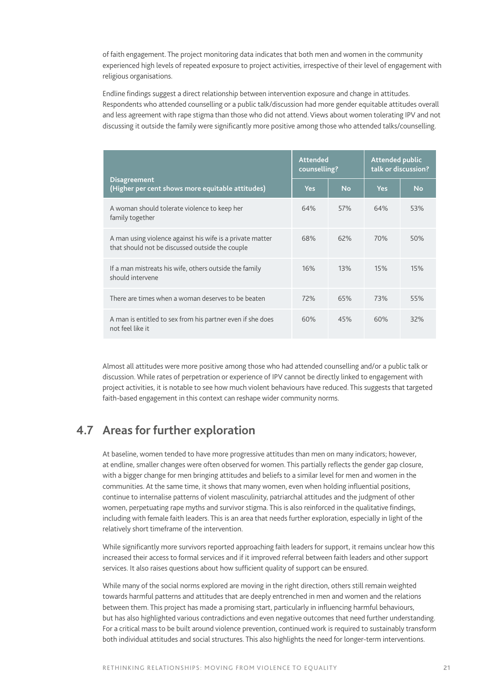of faith engagement. The project monitoring data indicates that both men and women in the community experienced high levels of repeated exposure to project activities, irrespective of their level of engagement with religious organisations.

Endline findings suggest a direct relationship between intervention exposure and change in attitudes. Respondents who attended counselling or a public talk/discussion had more gender equitable attitudes overall and less agreement with rape stigma than those who did not attend. Views about women tolerating IPV and not discussing it outside the family were significantly more positive among those who attended talks/counselling.

|                                                                                                              | <b>Attended</b><br>counselling? |           | <b>Attended public</b><br>talk or discussion? |           |
|--------------------------------------------------------------------------------------------------------------|---------------------------------|-----------|-----------------------------------------------|-----------|
| <b>Disagreement</b><br>(Higher per cent shows more equitable attitudes)                                      | <b>Yes</b>                      | <b>No</b> | <b>Yes</b>                                    | <b>No</b> |
| A woman should tolerate violence to keep her<br>family together                                              | 64%                             | 57%       | 64%                                           | 53%       |
| A man using violence against his wife is a private matter<br>that should not be discussed outside the couple | 68%                             | 62%       | 70%                                           | 50%       |
| If a man mistreats his wife, others outside the family<br>should intervene                                   | 16%                             | 13%       | 15%                                           | 15%       |
| There are times when a woman deserves to be beaten                                                           | 72%                             | 65%       | 73%                                           | 55%       |
| A man is entitled to sex from his partner even if she does<br>not feel like it                               | 60%                             | 45%       | 60%                                           | 32%       |

Almost all attitudes were more positive among those who had attended counselling and/or a public talk or discussion. While rates of perpetration or experience of IPV cannot be directly linked to engagement with project activities, it is notable to see how much violent behaviours have reduced. This suggests that targeted faith-based engagement in this context can reshape wider community norms.

## **4.7 Areas for further exploration**

At baseline, women tended to have more progressive attitudes than men on many indicators; however, at endline, smaller changes were often observed for women. This partially reflects the gender gap closure, with a bigger change for men bringing attitudes and beliefs to a similar level for men and women in the communities. At the same time, it shows that many women, even when holding influential positions, continue to internalise patterns of violent masculinity, patriarchal attitudes and the judgment of other women, perpetuating rape myths and survivor stigma. This is also reinforced in the qualitative findings, including with female faith leaders. This is an area that needs further exploration, especially in light of the relatively short timeframe of the intervention.

While significantly more survivors reported approaching faith leaders for support, it remains unclear how this increased their access to formal services and if it improved referral between faith leaders and other support services. It also raises questions about how sufficient quality of support can be ensured.

While many of the social norms explored are moving in the right direction, others still remain weighted towards harmful patterns and attitudes that are deeply entrenched in men and women and the relations between them. This project has made a promising start, particularly in influencing harmful behaviours, but has also highlighted various contradictions and even negative outcomes that need further understanding. For a critical mass to be built around violence prevention, continued work is required to sustainably transform both individual attitudes and social structures. This also highlights the need for longer-term interventions.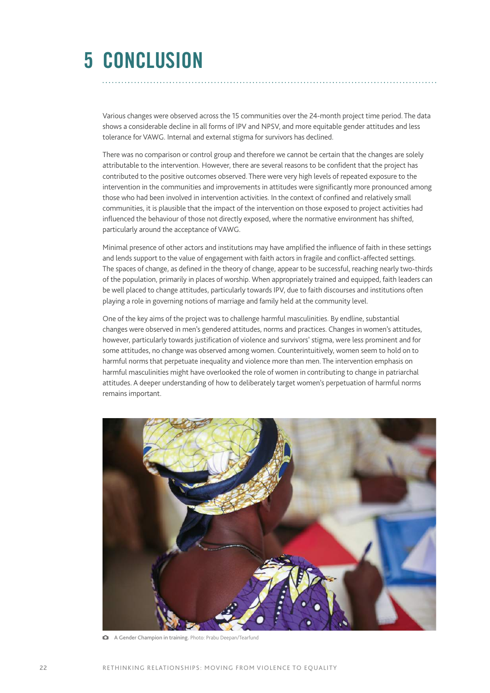## **5 CONCLUSION**

Various changes were observed across the 15 communities over the 24-month project time period. The data shows a considerable decline in all forms of IPV and NPSV, and more equitable gender attitudes and less tolerance for VAWG. Internal and external stigma for survivors has declined.

There was no comparison or control group and therefore we cannot be certain that the changes are solely attributable to the intervention. However, there are several reasons to be confident that the project has contributed to the positive outcomes observed. There were very high levels of repeated exposure to the intervention in the communities and improvements in attitudes were significantly more pronounced among those who had been involved in intervention activities. In the context of confined and relatively small communities, it is plausible that the impact of the intervention on those exposed to project activities had influenced the behaviour of those not directly exposed, where the normative environment has shifted, particularly around the acceptance of VAWG.

Minimal presence of other actors and institutions may have amplified the influence of faith in these settings and lends support to the value of engagement with faith actors in fragile and conflict-affected settings. The spaces of change, as defined in the theory of change, appear to be successful, reaching nearly two-thirds of the population, primarily in places of worship. When appropriately trained and equipped, faith leaders can be well placed to change attitudes, particularly towards IPV, due to faith discourses and institutions often playing a role in governing notions of marriage and family held at the community level.

One of the key aims of the project was to challenge harmful masculinities. By endline, substantial changes were observed in men's gendered attitudes, norms and practices. Changes in women's attitudes, however, particularly towards justification of violence and survivors' stigma, were less prominent and for some attitudes, no change was observed among women. Counterintuitively, women seem to hold on to harmful norms that perpetuate inequality and violence more than men. The intervention emphasis on harmful masculinities might have overlooked the role of women in contributing to change in patriarchal attitudes. A deeper understanding of how to deliberately target women's perpetuation of harmful norms remains important.



A Gender Champion in training. Photo: Prabu Deepan/Tearfund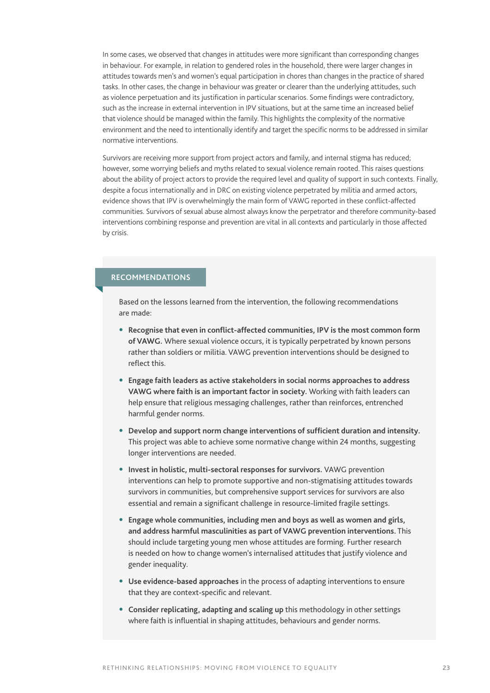In some cases, we observed that changes in attitudes were more significant than corresponding changes in behaviour. For example, in relation to gendered roles in the household, there were larger changes in attitudes towards men's and women's equal participation in chores than changes in the practice of shared tasks. In other cases, the change in behaviour was greater or clearer than the underlying attitudes, such as violence perpetuation and its justification in particular scenarios. Some findings were contradictory, such as the increase in external intervention in IPV situations, but at the same time an increased belief that violence should be managed within the family. This highlights the complexity of the normative environment and the need to intentionally identify and target the specific norms to be addressed in similar normative interventions.

Survivors are receiving more support from project actors and family, and internal stigma has reduced; however, some worrying beliefs and myths related to sexual violence remain rooted. This raises questions about the ability of project actors to provide the required level and quality of support in such contexts. Finally, despite a focus internationally and in DRC on existing violence perpetrated by militia and armed actors, evidence shows that IPV is overwhelmingly the main form of VAWG reported in these conflict-affected communities. Survivors of sexual abuse almost always know the perpetrator and therefore community-based interventions combining response and prevention are vital in all contexts and particularly in those affected by crisis.

### **RECOMMENDATIONS**

Based on the lessons learned from the intervention, the following recommendations are made:

- **• Recognise that even in conflict-affected communities, IPV is the most common form of VAWG.** Where sexual violence occurs, it is typically perpetrated by known persons rather than soldiers or militia. VAWG prevention interventions should be designed to reflect this.
- **• Engage faith leaders as active stakeholders in social norms approaches to address VAWG where faith is an important factor in society.** Working with faith leaders can help ensure that religious messaging challenges, rather than reinforces, entrenched harmful gender norms.
- **• Develop and support norm change interventions of sufficient duration and intensity.**  This project was able to achieve some normative change within 24 months, suggesting longer interventions are needed.
- **• Invest in holistic, multi-sectoral responses for survivors.** VAWG prevention interventions can help to promote supportive and non-stigmatising attitudes towards survivors in communities, but comprehensive support services for survivors are also essential and remain a significant challenge in resource-limited fragile settings.
- **• Engage whole communities, including men and boys as well as women and girls, and address harmful masculinities as part of VAWG prevention interventions.** This should include targeting young men whose attitudes are forming. Further research is needed on how to change women's internalised attitudes that justify violence and gender inequality.
- **• Use evidence-based approaches** in the process of adapting interventions to ensure that they are context-specific and relevant.
- **• Consider replicating, adapting and scaling up** this methodology in other settings where faith is influential in shaping attitudes, behaviours and gender norms.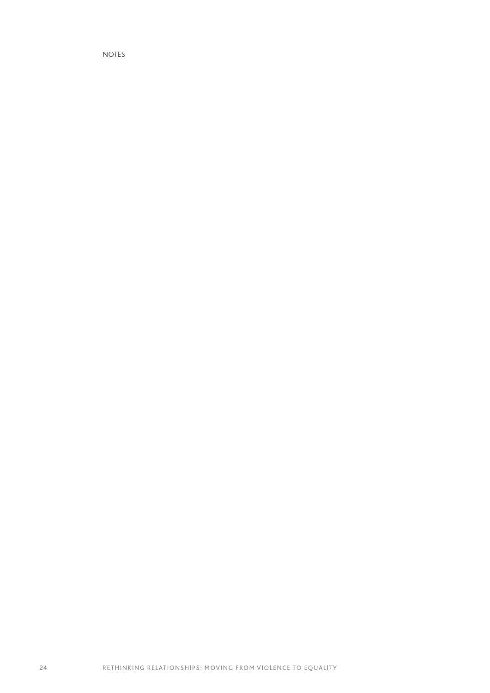NOTES